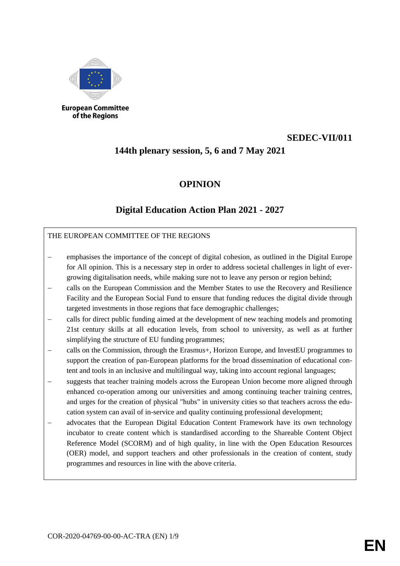

of the Regions

# **SEDEC-VII/011**

# **144th plenary session, 5, 6 and 7 May 2021**

## **OPINION**

## **Digital Education Action Plan 2021 - 2027**

### THE EUROPEAN COMMITTEE OF THE REGIONS

- emphasises the importance of the concept of digital cohesion, as outlined in the Digital Europe for All opinion. This is a necessary step in order to address societal challenges in light of evergrowing digitalisation needs, while making sure not to leave any person or region behind;
- calls on the European Commission and the Member States to use the Recovery and Resilience Facility and the European Social Fund to ensure that funding reduces the digital divide through targeted investments in those regions that face demographic challenges;
- calls for direct public funding aimed at the development of new teaching models and promoting 21st century skills at all education levels, from school to university, as well as at further simplifying the structure of EU funding programmes;
- calls on the Commission, through the Erasmus+, Horizon Europe, and InvestEU programmes to support the creation of pan-European platforms for the broad dissemination of educational content and tools in an inclusive and multilingual way, taking into account regional languages;
- suggests that teacher training models across the European Union become more aligned through enhanced co-operation among our universities and among continuing teacher training centres, and urges for the creation of physical "hubs" in university cities so that teachers across the education system can avail of in-service and quality continuing professional development;
- advocates that the European Digital Education Content Framework have its own technology incubator to create content which is standardised according to the Shareable Content Object Reference Model (SCORM) and of high quality, in line with the Open Education Resources (OER) model, and support teachers and other professionals in the creation of content, study programmes and resources in line with the above criteria.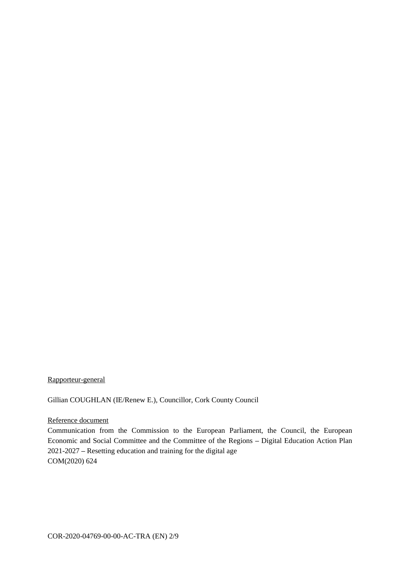Rapporteur-general

Gillian COUGHLAN (IE/Renew E.), Councillor, Cork County Council

#### Reference document

Communication from the Commission to the European Parliament, the Council, the European Economic and Social Committee and the Committee of the Regions **–** Digital Education Action Plan 2021-2027 **–** Resetting education and training for the digital age COM(2020) 624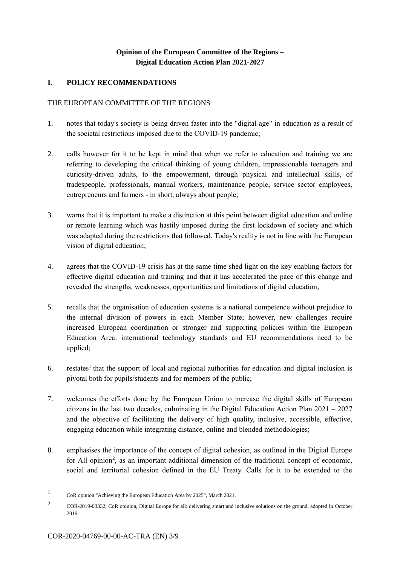## **Opinion of the European Committee of the Regions – Digital Education Action Plan 2021-2027**

## **I. POLICY RECOMMENDATIONS**

### THE EUROPEAN COMMITTEE OF THE REGIONS

- 1. notes that today's society is being driven faster into the "digital age" in education as a result of the societal restrictions imposed due to the COVID-19 pandemic;
- 2. calls however for it to be kept in mind that when we refer to education and training we are referring to developing the critical thinking of young children, impressionable teenagers and curiosity-driven adults, to the empowerment, through physical and intellectual skills, of tradespeople, professionals, manual workers, maintenance people, service sector employees, entrepreneurs and farmers - in short, always about people;
- 3. warns that it is important to make a distinction at this point between digital education and online or remote learning which was hastily imposed during the first lockdown of society and which was adapted during the restrictions that followed. Today's reality is not in line with the European vision of digital education;
- 4. agrees that the COVID-19 crisis has at the same time shed light on the key enabling factors for effective digital education and training and that it has accelerated the pace of this change and revealed the strengths, weaknesses, opportunities and limitations of digital education;
- 5. recalls that the organisation of education systems is a national competence without prejudice to the internal division of powers in each Member State; however, new challenges require increased European coordination or stronger and supporting policies within the European Education Area: international technology standards and EU recommendations need to be applied;
- 6. restates<sup>1</sup> that the support of local and regional authorities for education and digital inclusion is pivotal both for pupils/students and for members of the public;
- 7. welcomes the efforts done by the European Union to increase the digital skills of European citizens in the last two decades, culminating in the Digital Education Action Plan 2021 – 2027 and the objective of facilitating the delivery of high quality, inclusive, accessible, effective, engaging education while integrating distance, online and blended methodologies;
- 8. emphasises the importance of the concept of digital cohesion, as outlined in the Digital Europe for All opinion<sup>2</sup>, as an important additional dimension of the traditional concept of economic, social and territorial cohesion defined in the EU Treaty. Calls for it to be extended to the

-

<sup>1</sup> CoR opinion "Achieving the European Education Area by 2025", March 2021.

<sup>&</sup>lt;sup>2</sup> COR-2019-03332, CoR opinion, Digital Europe for all: delivering smart and inclusive solutions on the ground, adopted in October 2019.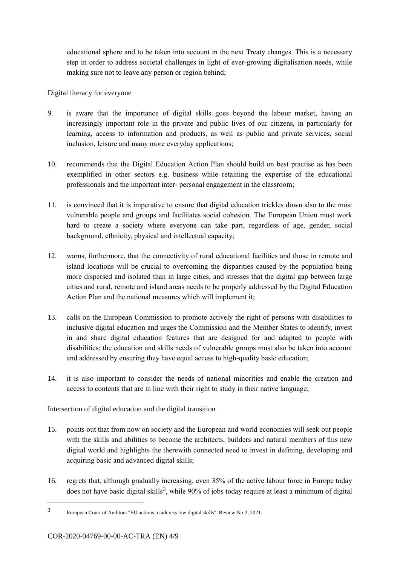educational sphere and to be taken into account in the next Treaty changes. This is a necessary step in order to address societal challenges in light of ever-growing digitalisation needs, while making sure not to leave any person or region behind;

Digital literacy for everyone

- 9. is aware that the importance of digital skills goes beyond the labour market, having an increasingly important role in the private and public lives of our citizens, in particularly for learning, access to information and products, as well as public and private services, social inclusion, leisure and many more everyday applications;
- 10. recommends that the Digital Education Action Plan should build on best practise as has been exemplified in other sectors e.g. business while retaining the expertise of the educational professionals and the important inter- personal engagement in the classroom;
- 11. is convinced that it is imperative to ensure that digital education trickles down also to the most vulnerable people and groups and facilitates social cohesion. The European Union must work hard to create a society where everyone can take part, regardless of age, gender, social background, ethnicity, physical and intellectual capacity;
- 12. warns, furthermore, that the connectivity of rural educational facilities and those in remote and island locations will be crucial to overcoming the disparities caused by the population being more dispersed and isolated than in large cities, and stresses that the digital gap between large cities and rural, remote and island areas needs to be properly addressed by the Digital Education Action Plan and the national measures which will implement it;
- 13. calls on the European Commission to promote actively the right of persons with disabilities to inclusive digital education and urges the Commission and the Member States to identify, invest in and share digital education features that are designed for and adapted to people with disabilities; the education and skills needs of vulnerable groups must also be taken into account and addressed by ensuring they have equal access to high-quality basic education;
- 14. it is also important to consider the needs of national minorities and enable the creation and access to contents that are in line with their right to study in their native language;

Intersection of digital education and the digital transition

- 15. points out that from now on society and the European and world economies will seek out people with the skills and abilities to become the architects, builders and natural members of this new digital world and highlights the therewith connected need to invest in defining, developing and acquiring basic and advanced digital skills;
- 16. regrets that, although gradually increasing, even 35% of the active labour force in Europe today does not have basic digital skills<sup>3</sup>, while 90% of jobs today require at least a minimum of digital

<sup>3</sup> European Court of Auditors "EU actions to address low digital skills", Review No 2, 2021.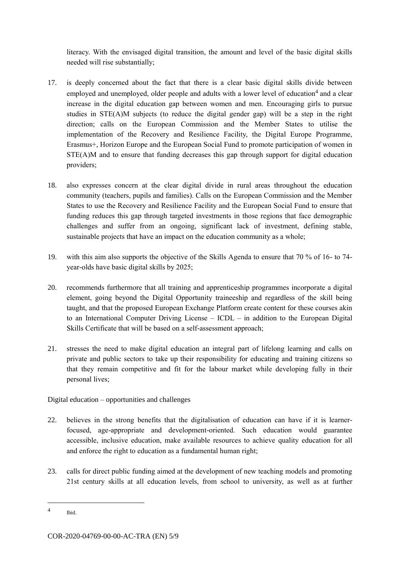literacy. With the envisaged digital transition, the amount and level of the basic digital skills needed will rise substantially;

- 17. is deeply concerned about the fact that there is a clear basic digital skills divide between employed and unemployed, older people and adults with a lower level of education<sup>4</sup> and a clear increase in the digital education gap between women and men. Encouraging girls to pursue studies in STE(A)M subjects (to reduce the digital gender gap) will be a step in the right direction; calls on the European Commission and the Member States to utilise the implementation of the Recovery and Resilience Facility, the Digital Europe Programme, Erasmus+, Horizon Europe and the European Social Fund to promote participation of women in STE(A)M and to ensure that funding decreases this gap through support for digital education providers;
- 18. also expresses concern at the clear digital divide in rural areas throughout the education community (teachers, pupils and families). Calls on the European Commission and the Member States to use the Recovery and Resilience Facility and the European Social Fund to ensure that funding reduces this gap through targeted investments in those regions that face demographic challenges and suffer from an ongoing, significant lack of investment, defining stable, sustainable projects that have an impact on the education community as a whole;
- 19. with this aim also supports the objective of the Skills Agenda to ensure that 70 % of 16- to 74 year-olds have basic digital skills by 2025;
- 20. recommends furthermore that all training and apprenticeship programmes incorporate a digital element, going beyond the Digital Opportunity traineeship and regardless of the skill being taught, and that the proposed European Exchange Platform create content for these courses akin to an International Computer Driving License – ICDL – in addition to the European Digital Skills Certificate that will be based on a self-assessment approach;
- 21. stresses the need to make digital education an integral part of lifelong learning and calls on private and public sectors to take up their responsibility for educating and training citizens so that they remain competitive and fit for the labour market while developing fully in their personal lives;

Digital education – opportunities and challenges

- 22. believes in the strong benefits that the digitalisation of education can have if it is learnerfocused, age-appropriate and development-oriented. Such education would guarantee accessible, inclusive education, make available resources to achieve quality education for all and enforce the right to education as a fundamental human right;
- 23. calls for direct public funding aimed at the development of new teaching models and promoting 21st century skills at all education levels, from school to university, as well as at further

<sup>4</sup> Ibid.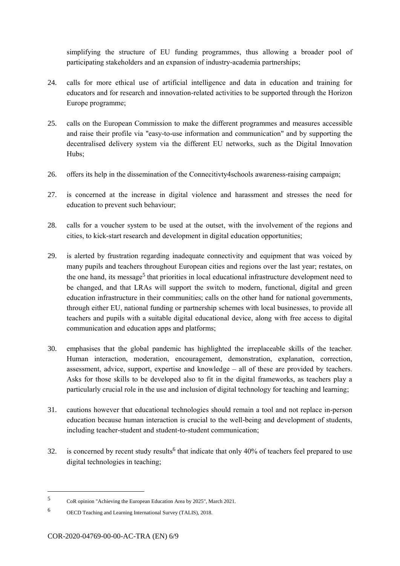simplifying the structure of EU funding programmes, thus allowing a broader pool of participating stakeholders and an expansion of industry-academia partnerships;

- 24. calls for more ethical use of artificial intelligence and data in education and training for educators and for research and innovation-related activities to be supported through the Horizon Europe programme;
- 25. calls on the European Commission to make the different programmes and measures accessible and raise their profile via "easy-to-use information and communication" and by supporting the decentralised delivery system via the different EU networks, such as the Digital Innovation Hubs;
- 26. offers its help in the dissemination of the Connecitivty4schools awareness-raising campaign;
- 27. is concerned at the increase in digital violence and harassment and stresses the need for education to prevent such behaviour;
- 28. calls for a voucher system to be used at the outset, with the involvement of the regions and cities, to kick-start research and development in digital education opportunities;
- 29. is alerted by frustration regarding inadequate connectivity and equipment that was voiced by many pupils and teachers throughout European cities and regions over the last year; restates, on the one hand, its message<sup>5</sup> that priorities in local educational infrastructure development need to be changed, and that LRAs will support the switch to modern, functional, digital and green education infrastructure in their communities; calls on the other hand for national governments, through either EU, national funding or partnership schemes with local businesses, to provide all teachers and pupils with a suitable digital educational device, along with free access to digital communication and education apps and platforms;
- 30. emphasises that the global pandemic has highlighted the irreplaceable skills of the teacher. Human interaction, moderation, encouragement, demonstration, explanation, correction, assessment, advice, support, expertise and knowledge – all of these are provided by teachers. Asks for those skills to be developed also to fit in the digital frameworks, as teachers play a particularly crucial role in the use and inclusion of digital technology for teaching and learning;
- 31. cautions however that educational technologies should remain a tool and not replace in-person education because human interaction is crucial to the well-being and development of students, including teacher-student and student-to-student communication;
- 32. is concerned by recent study results<sup>6</sup> that indicate that only 40% of teachers feel prepared to use digital technologies in teaching;

<sup>5</sup> CoR opinion "Achieving the European Education Area by 2025", March 2021.

<sup>6</sup> OECD Teaching and Learning International Survey (TALIS), 2018.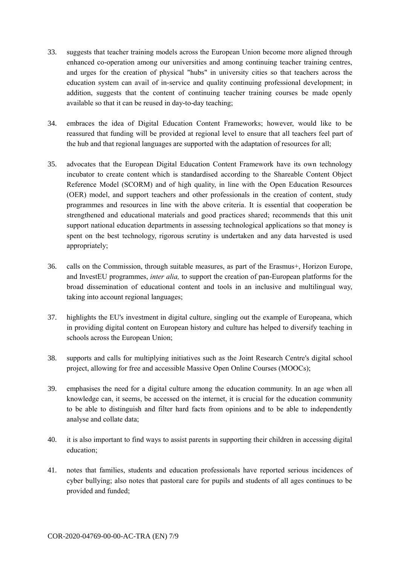- 33. suggests that teacher training models across the European Union become more aligned through enhanced co-operation among our universities and among continuing teacher training centres, and urges for the creation of physical "hubs" in university cities so that teachers across the education system can avail of in-service and quality continuing professional development; in addition, suggests that the content of continuing teacher training courses be made openly available so that it can be reused in day-to-day teaching;
- 34. embraces the idea of Digital Education Content Frameworks; however, would like to be reassured that funding will be provided at regional level to ensure that all teachers feel part of the hub and that regional languages are supported with the adaptation of resources for all;
- 35. advocates that the European Digital Education Content Framework have its own technology incubator to create content which is standardised according to the Shareable Content Object Reference Model (SCORM) and of high quality, in line with the Open Education Resources (OER) model, and support teachers and other professionals in the creation of content, study programmes and resources in line with the above criteria. It is essential that cooperation be strengthened and educational materials and good practices shared; recommends that this unit support national education departments in assessing technological applications so that money is spent on the best technology, rigorous scrutiny is undertaken and any data harvested is used appropriately;
- 36. calls on the Commission, through suitable measures, as part of the Erasmus+, Horizon Europe, and InvestEU programmes, *inter alia,* to support the creation of pan-European platforms for the broad dissemination of educational content and tools in an inclusive and multilingual way, taking into account regional languages;
- 37. highlights the EU's investment in digital culture, singling out the example of Europeana, which in providing digital content on European history and culture has helped to diversify teaching in schools across the European Union;
- 38. supports and calls for multiplying initiatives such as the Joint Research Centre's digital school project, allowing for free and accessible Massive Open Online Courses (MOOCs);
- 39. emphasises the need for a digital culture among the education community. In an age when all knowledge can, it seems, be accessed on the internet, it is crucial for the education community to be able to distinguish and filter hard facts from opinions and to be able to independently analyse and collate data;
- 40. it is also important to find ways to assist parents in supporting their children in accessing digital education;
- 41. notes that families, students and education professionals have reported serious incidences of cyber bullying; also notes that pastoral care for pupils and students of all ages continues to be provided and funded;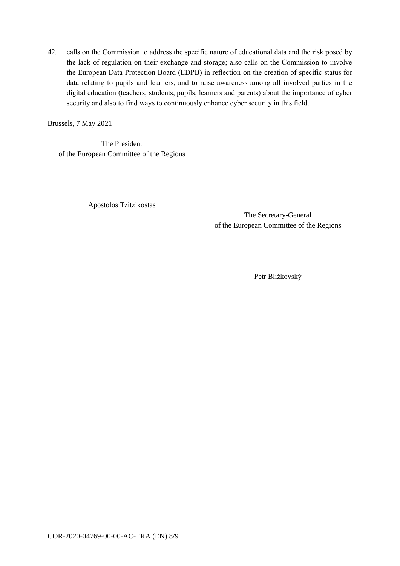42. calls on the Commission to address the specific nature of educational data and the risk posed by the lack of regulation on their exchange and storage; also calls on the Commission to involve the European Data Protection Board (EDPB) in reflection on the creation of specific status for data relating to pupils and learners, and to raise awareness among all involved parties in the digital education (teachers, students, pupils, learners and parents) about the importance of cyber security and also to find ways to continuously enhance cyber security in this field.

Brussels, 7 May 2021

The President of the European Committee of the Regions

Apostolos Tzitzikostas

The Secretary-General of the European Committee of the Regions

Petr Blížkovský